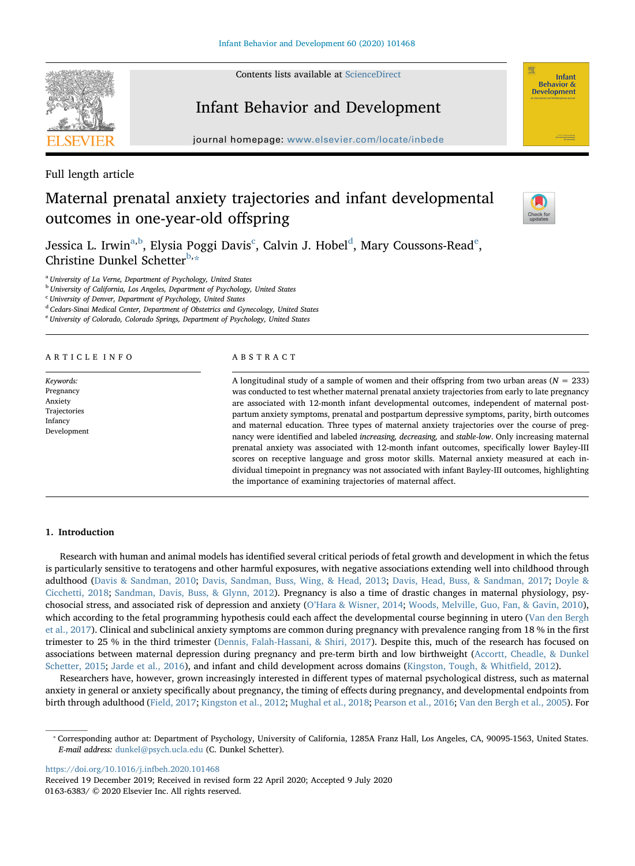Contents lists available at [ScienceDirect](http://www.sciencedirect.com/science/journal/01636383)

# Infant Behavior and Development

journal homepage: [www.elsevier.com/locate/inbede](https://www.elsevier.com/locate/inbede)

Full length article

# Maternal prenatal anxiety trajectories and infant developmental outcomes in one-year-old offspring



Infant **Behavior & Development** 

Jessica L. Irwin<sup>[a,](#page-0-0)[b](#page-0-1)</sup>, Elysia Poggi Davis<sup>[c](#page-0-2)</sup>, Calvin J. Hobel<sup>[d](#page-0-3)</sup>, Mary Coussons-R[e](#page-0-4)ad<sup>e</sup>, Christine Dunkel Schetter[b](#page-0-1),[\\*](#page-0-5)

<span id="page-0-0"></span><sup>a</sup> University of La Verne, Department of Psychology, United States

<span id="page-0-1"></span><sup>b</sup> University of California, Los Angeles, Department of Psychology, United States

<span id="page-0-2"></span><sup>c</sup> University of Denver, Department of Psychology, United States

<span id="page-0-3"></span><sup>d</sup> Cedars-Sinai Medical Center, Department of Obstetrics and Gynecology, United States

<span id="page-0-4"></span><sup>e</sup> University of Colorado, Colorado Springs, Department of Psychology, United States

ARTICLE INFO

Keywords: Pregnancy Anxiety Trajectories Infancy Development

## ABSTRACT

A longitudinal study of a sample of women and their offspring from two urban areas ( $N = 233$ ) was conducted to test whether maternal prenatal anxiety trajectories from early to late pregnancy are associated with 12-month infant developmental outcomes, independent of maternal postpartum anxiety symptoms, prenatal and postpartum depressive symptoms, parity, birth outcomes and maternal education. Three types of maternal anxiety trajectories over the course of pregnancy were identified and labeled increasing, decreasing, and stable-low. Only increasing maternal prenatal anxiety was associated with 12-month infant outcomes, specifically lower Bayley-III scores on receptive language and gross motor skills. Maternal anxiety measured at each individual timepoint in pregnancy was not associated with infant Bayley-III outcomes, highlighting the importance of examining trajectories of maternal affect.

## 1. Introduction

Research with human and animal models has identified several critical periods of fetal growth and development in which the fetus is particularly sensitive to teratogens and other harmful exposures, with negative associations extending well into childhood through adulthood ([Davis & Sandman, 2010](#page-7-0); [Davis, Sandman, Buss, Wing, & Head, 2013](#page-7-1); [Davis, Head, Buss, & Sandman, 2017;](#page-7-2) [Doyle &](#page-7-3) [Cicchetti, 2018](#page-7-3); [Sandman, Davis, Buss, & Glynn, 2012](#page-7-4)). Pregnancy is also a time of drastic changes in maternal physiology, psychosocial stress, and associated risk of depression and anxiety (O'[Hara & Wisner, 2014;](#page-7-5) [Woods, Melville, Guo, Fan, & Gavin, 2010](#page-8-0)), which according to the fetal programming hypothesis could each affect the developmental course beginning in utero ([Van den Bergh](#page-8-1) [et al., 2017](#page-8-1)). Clinical and subclinical anxiety symptoms are common during pregnancy with prevalence ranging from 18 % in the first trimester to 25 % in the third trimester ([Dennis, Falah-Hassani, & Shiri, 2017](#page-7-6)). Despite this, much of the research has focused on associations between maternal depression during pregnancy and pre-term birth and low birthweight [\(Accortt, Cheadle, & Dunkel](#page-6-0) [Schetter, 2015;](#page-6-0) [Jarde et al., 2016](#page-7-7)), and infant and child development across domains [\(Kingston, Tough, & Whit](#page-7-8)field, 2012).

Researchers have, however, grown increasingly interested in different types of maternal psychological distress, such as maternal anxiety in general or anxiety specifically about pregnancy, the timing of effects during pregnancy, and developmental endpoints from birth through adulthood ([Field, 2017](#page-7-9); [Kingston et al., 2012;](#page-7-8) [Mughal et al., 2018;](#page-7-10) [Pearson et al., 2016;](#page-7-11) [Van den Bergh et al., 2005](#page-8-2)). For

<https://doi.org/10.1016/j.infbeh.2020.101468>

Received 19 December 2019; Received in revised form 22 April 2020; Accepted 9 July 2020 0163-6383/ © 2020 Elsevier Inc. All rights reserved.

<span id="page-0-5"></span><sup>⁎</sup> Corresponding author at: Department of Psychology, University of California, 1285A Franz Hall, Los Angeles, CA, 90095-1563, United States. E-mail address: [dunkel@psych.ucla.edu](mailto:dunkel@psych.ucla.edu) (C. Dunkel Schetter).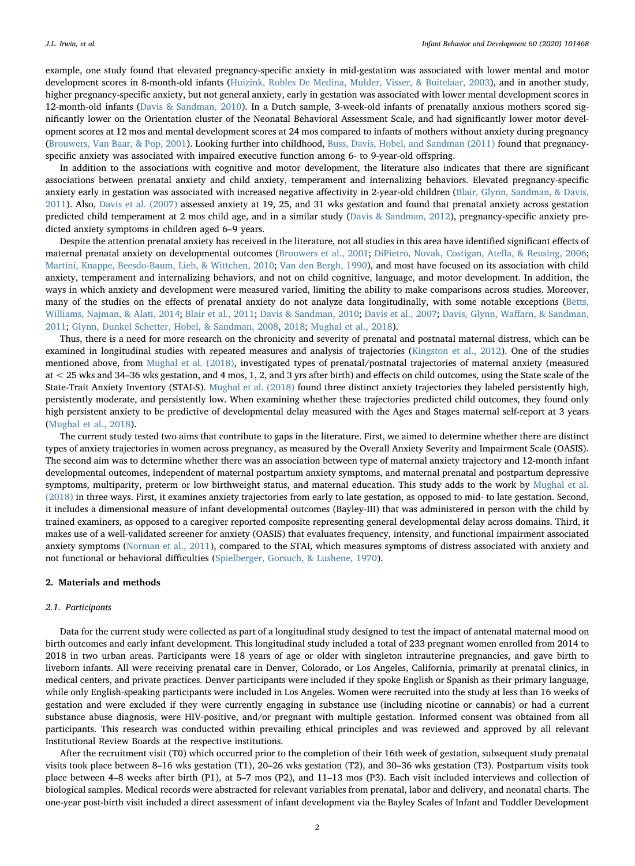example, one study found that elevated pregnancy-specific anxiety in mid-gestation was associated with lower mental and motor development scores in 8-month-old infants ([Huizink, Robles De Medina, Mulder, Visser, & Buitelaar, 2003](#page-7-12)), and in another study, higher pregnancy-specific anxiety, but not general anxiety, early in gestation was associated with lower mental development scores in 12-month-old infants [\(Davis & Sandman, 2010](#page-7-0)). In a Dutch sample, 3-week-old infants of prenatally anxious mothers scored significantly lower on the Orientation cluster of the Neonatal Behavioral Assessment Scale, and had significantly lower motor development scores at 12 mos and mental development scores at 24 mos compared to infants of mothers without anxiety during pregnancy ([Brouwers, Van Baar, & Pop, 2001](#page-7-13)). Looking further into childhood, [Buss, Davis, Hobel, and Sandman \(2011\)](#page-7-14) found that pregnancyspecific anxiety was associated with impaired executive function among 6- to 9-year-old offspring.

In addition to the associations with cognitive and motor development, the literature also indicates that there are significant associations between prenatal anxiety and child anxiety, temperament and internalizing behaviors. Elevated pregnancy-specific anxiety early in gestation was associated with increased negative affectivity in 2-year-old children [\(Blair, Glynn, Sandman, & Davis,](#page-7-15) [2011\)](#page-7-15). Also, [Davis et al. \(2007\)](#page-7-16) assessed anxiety at 19, 25, and 31 wks gestation and found that prenatal anxiety across gestation predicted child temperament at 2 mos child age, and in a similar study [\(Davis & Sandman, 2012](#page-7-17)), pregnancy-specific anxiety predicted anxiety symptoms in children aged 6–9 years.

Despite the attention prenatal anxiety has received in the literature, not all studies in this area have identified significant effects of maternal prenatal anxiety on developmental outcomes [\(Brouwers et al., 2001](#page-7-13); [DiPietro, Novak, Costigan, Atella, & Reusing, 2006;](#page-7-18) [Martini, Knappe, Beesdo-Baum, Lieb, & Wittchen, 2010](#page-7-19); [Van den Bergh, 1990\)](#page-8-3), and most have focused on its association with child anxiety, temperament and internalizing behaviors, and not on child cognitive, language, and motor development. In addition, the ways in which anxiety and development were measured varied, limiting the ability to make comparisons across studies. Moreover, many of the studies on the effects of prenatal anxiety do not analyze data longitudinally, with some notable exceptions ([Betts,](#page-7-20) [Williams, Najman, & Alati, 2014](#page-7-20); [Blair et al., 2011](#page-7-15); [Davis & Sandman, 2010](#page-7-0); [Davis et al., 2007;](#page-7-16) [Davis, Glynn, Wa](#page-7-21)ffarn, & Sandman, [2011;](#page-7-21) [Glynn, Dunkel Schetter, Hobel, & Sandman, 2008,](#page-7-22) [2018;](#page-7-23) [Mughal et al., 2018\)](#page-7-10).

Thus, there is a need for more research on the chronicity and severity of prenatal and postnatal maternal distress, which can be examined in longitudinal studies with repeated measures and analysis of trajectories ([Kingston et al., 2012\)](#page-7-8). One of the studies mentioned above, from [Mughal et al. \(2018\),](#page-7-10) investigated types of prenatal/postnatal trajectories of maternal anxiety (measured at < 25 wks and 34–36 wks gestation, and 4 mos, 1, 2, and 3 yrs after birth) and effects on child outcomes, using the State scale of the State-Trait Anxiety Inventory (STAI-S). [Mughal et al. \(2018\)](#page-7-10) found three distinct anxiety trajectories they labeled persistently high, persistently moderate, and persistently low. When examining whether these trajectories predicted child outcomes, they found only high persistent anxiety to be predictive of developmental delay measured with the Ages and Stages maternal self-report at 3 years ([Mughal et al., 2018](#page-7-10)).

The current study tested two aims that contribute to gaps in the literature. First, we aimed to determine whether there are distinct types of anxiety trajectories in women across pregnancy, as measured by the Overall Anxiety Severity and Impairment Scale (OASIS). The second aim was to determine whether there was an association between type of maternal anxiety trajectory and 12-month infant developmental outcomes, independent of maternal postpartum anxiety symptoms, and maternal prenatal and postpartum depressive symptoms, multiparity, preterm or low birthweight status, and maternal education. This study adds to the work by [Mughal et al.](#page-7-10) [\(2018\)](#page-7-10) in three ways. First, it examines anxiety trajectories from early to late gestation, as opposed to mid- to late gestation. Second, it includes a dimensional measure of infant developmental outcomes (Bayley-III) that was administered in person with the child by trained examiners, as opposed to a caregiver reported composite representing general developmental delay across domains. Third, it makes use of a well-validated screener for anxiety (OASIS) that evaluates frequency, intensity, and functional impairment associated anxiety symptoms ([Norman et al., 2011](#page-7-24)), compared to the STAI, which measures symptoms of distress associated with anxiety and not functional or behavioral difficulties ([Spielberger, Gorsuch, & Lushene, 1970](#page-7-25)).

#### 2. Materials and methods

#### 2.1. Participants

Data for the current study were collected as part of a longitudinal study designed to test the impact of antenatal maternal mood on birth outcomes and early infant development. This longitudinal study included a total of 233 pregnant women enrolled from 2014 to 2018 in two urban areas. Participants were 18 years of age or older with singleton intrauterine pregnancies, and gave birth to liveborn infants. All were receiving prenatal care in Denver, Colorado, or Los Angeles, California, primarily at prenatal clinics, in medical centers, and private practices. Denver participants were included if they spoke English or Spanish as their primary language, while only English-speaking participants were included in Los Angeles. Women were recruited into the study at less than 16 weeks of gestation and were excluded if they were currently engaging in substance use (including nicotine or cannabis) or had a current substance abuse diagnosis, were HIV-positive, and/or pregnant with multiple gestation. Informed consent was obtained from all participants. This research was conducted within prevailing ethical principles and was reviewed and approved by all relevant Institutional Review Boards at the respective institutions.

After the recruitment visit (T0) which occurred prior to the completion of their 16th week of gestation, subsequent study prenatal visits took place between 8–16 wks gestation (T1), 20–26 wks gestation (T2), and 30–36 wks gestation (T3). Postpartum visits took place between 4–8 weeks after birth (P1), at 5–7 mos (P2), and 11–13 mos (P3). Each visit included interviews and collection of biological samples. Medical records were abstracted for relevant variables from prenatal, labor and delivery, and neonatal charts. The one-year post-birth visit included a direct assessment of infant development via the Bayley Scales of Infant and Toddler Development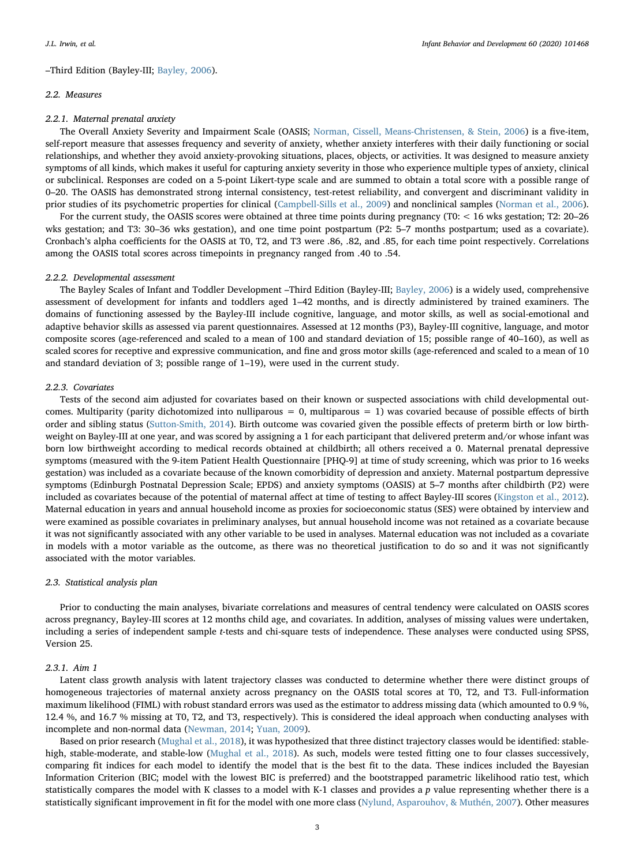# –Third Edition (Bayley-III; [Bayley, 2006\)](#page-7-26).

#### 2.2. Measures

#### 2.2.1. Maternal prenatal anxiety

The Overall Anxiety Severity and Impairment Scale (OASIS; [Norman, Cissell, Means-Christensen, & Stein, 2006](#page-7-27)) is a five-item, self-report measure that assesses frequency and severity of anxiety, whether anxiety interferes with their daily functioning or social relationships, and whether they avoid anxiety-provoking situations, places, objects, or activities. It was designed to measure anxiety symptoms of all kinds, which makes it useful for capturing anxiety severity in those who experience multiple types of anxiety, clinical or subclinical. Responses are coded on a 5-point Likert-type scale and are summed to obtain a total score with a possible range of 0–20. The OASIS has demonstrated strong internal consistency, test-retest reliability, and convergent and discriminant validity in prior studies of its psychometric properties for clinical [\(Campbell-Sills et al., 2009\)](#page-7-28) and nonclinical samples [\(Norman et al., 2006\)](#page-7-27).

For the current study, the OASIS scores were obtained at three time points during pregnancy (T0: < 16 wks gestation; T2: 20–26 wks gestation; and T3: 30–36 wks gestation), and one time point postpartum (P2: 5–7 months postpartum; used as a covariate). Cronbach's alpha coefficients for the OASIS at T0, T2, and T3 were .86, .82, and .85, for each time point respectively. Correlations among the OASIS total scores across timepoints in pregnancy ranged from .40 to .54.

## 2.2.2. Developmental assessment

The Bayley Scales of Infant and Toddler Development –Third Edition (Bayley-III; [Bayley, 2006\)](#page-7-26) is a widely used, comprehensive assessment of development for infants and toddlers aged 1–42 months, and is directly administered by trained examiners. The domains of functioning assessed by the Bayley-III include cognitive, language, and motor skills, as well as social-emotional and adaptive behavior skills as assessed via parent questionnaires. Assessed at 12 months (P3), Bayley-III cognitive, language, and motor composite scores (age-referenced and scaled to a mean of 100 and standard deviation of 15; possible range of 40–160), as well as scaled scores for receptive and expressive communication, and fine and gross motor skills (age-referenced and scaled to a mean of 10 and standard deviation of 3; possible range of 1–19), were used in the current study.

#### 2.2.3. Covariates

Tests of the second aim adjusted for covariates based on their known or suspected associations with child developmental outcomes. Multiparity (parity dichotomized into nulliparous =  $0$ , multiparous =  $1$ ) was covaried because of possible effects of birth order and sibling status [\(Sutton-Smith, 2014](#page-8-4)). Birth outcome was covaried given the possible effects of preterm birth or low birthweight on Bayley-III at one year, and was scored by assigning a 1 for each participant that delivered preterm and/or whose infant was born low birthweight according to medical records obtained at childbirth; all others received a 0. Maternal prenatal depressive symptoms (measured with the 9-item Patient Health Questionnaire [PHQ-9] at time of study screening, which was prior to 16 weeks gestation) was included as a covariate because of the known comorbidity of depression and anxiety. Maternal postpartum depressive symptoms (Edinburgh Postnatal Depression Scale; EPDS) and anxiety symptoms (OASIS) at 5–7 months after childbirth (P2) were included as covariates because of the potential of maternal affect at time of testing to affect Bayley-III scores ([Kingston et al., 2012\)](#page-7-8). Maternal education in years and annual household income as proxies for socioeconomic status (SES) were obtained by interview and were examined as possible covariates in preliminary analyses, but annual household income was not retained as a covariate because it was not significantly associated with any other variable to be used in analyses. Maternal education was not included as a covariate in models with a motor variable as the outcome, as there was no theoretical justification to do so and it was not significantly associated with the motor variables.

#### 2.3. Statistical analysis plan

Prior to conducting the main analyses, bivariate correlations and measures of central tendency were calculated on OASIS scores across pregnancy, Bayley-III scores at 12 months child age, and covariates. In addition, analyses of missing values were undertaken, including a series of independent sample t-tests and chi-square tests of independence. These analyses were conducted using SPSS, Version 25.

### 2.3.1. Aim 1

Latent class growth analysis with latent trajectory classes was conducted to determine whether there were distinct groups of homogeneous trajectories of maternal anxiety across pregnancy on the OASIS total scores at T0, T2, and T3. Full-information maximum likelihood (FIML) with robust standard errors was used as the estimator to address missing data (which amounted to 0.9 %, 12.4 %, and 16.7 % missing at T0, T2, and T3, respectively). This is considered the ideal approach when conducting analyses with incomplete and non-normal data [\(Newman, 2014](#page-7-29); [Yuan, 2009](#page-8-5)).

Based on prior research [\(Mughal et al., 2018](#page-7-10)), it was hypothesized that three distinct trajectory classes would be identified: stable-high, stable-moderate, and stable-low [\(Mughal et al., 2018\)](#page-7-10). As such, models were tested fitting one to four classes successively, comparing fit indices for each model to identify the model that is the best fit to the data. These indices included the Bayesian Information Criterion (BIC; model with the lowest BIC is preferred) and the bootstrapped parametric likelihood ratio test, which statistically compares the model with K classes to a model with K-1 classes and provides a  $p$  value representing whether there is a statistically significant improvement in fit for the model with one more class [\(Nylund, Asparouhov, & Muthén, 2007](#page-7-30)). Other measures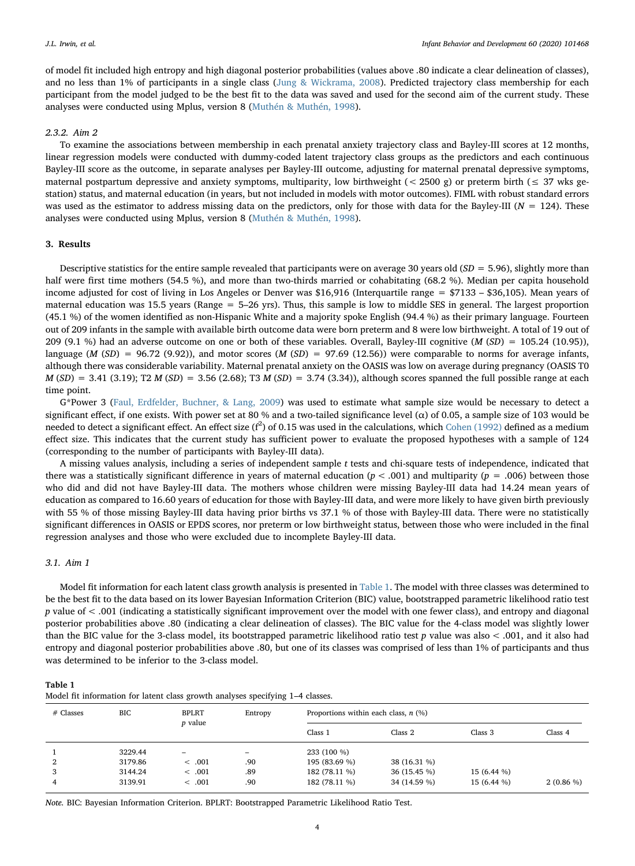of model fit included high entropy and high diagonal posterior probabilities (values above .80 indicate a clear delineation of classes), and no less than 1% of participants in a single class [\(Jung & Wickrama, 2008](#page-7-31)). Predicted trajectory class membership for each participant from the model judged to be the best fit to the data was saved and used for the second aim of the current study. These analyses were conducted using Mplus, version 8 [\(Muthén & Muthén, 1998\)](#page-7-32).

# 2.3.2. Aim 2

To examine the associations between membership in each prenatal anxiety trajectory class and Bayley-III scores at 12 months, linear regression models were conducted with dummy-coded latent trajectory class groups as the predictors and each continuous Bayley-III score as the outcome, in separate analyses per Bayley-III outcome, adjusting for maternal prenatal depressive symptoms, maternal postpartum depressive and anxiety symptoms, multiparity, low birthweight (< 2500 g) or preterm birth ( $\leq$  37 wks gestation) status, and maternal education (in years, but not included in models with motor outcomes). FIML with robust standard errors was used as the estimator to address missing data on the predictors, only for those with data for the Bayley-III ( $N = 124$ ). These analyses were conducted using Mplus, version 8 [\(Muthén & Muthén, 1998\)](#page-7-32).

## 3. Results

Descriptive statistics for the entire sample revealed that participants were on average 30 years old  $(SD = 5.96)$ , slightly more than half were first time mothers (54.5 %), and more than two-thirds married or cohabitating (68.2 %). Median per capita household income adjusted for cost of living in Los Angeles or Denver was \$16,916 (Interquartile range = \$7133 – \$36,105). Mean years of maternal education was 15.5 years (Range = 5–26 yrs). Thus, this sample is low to middle SES in general. The largest proportion (45.1 %) of the women identified as non-Hispanic White and a majority spoke English (94.4 %) as their primary language. Fourteen out of 209 infants in the sample with available birth outcome data were born preterm and 8 were low birthweight. A total of 19 out of 209 (9.1 %) had an adverse outcome on one or both of these variables. Overall, Bayley-III cognitive ( $M(SD) = 105.24$  (10.95)), language ( $M(SD) = 96.72$  (9.92)), and motor scores ( $M(SD) = 97.69$  (12.56)) were comparable to norms for average infants, although there was considerable variability. Maternal prenatal anxiety on the OASIS was low on average during pregnancy (OASIS T0  $M(SD) = 3.41$  (3.19); T2  $M(SD) = 3.56$  (2.68); T3  $M(SD) = 3.74$  (3.34)), although scores spanned the full possible range at each time point.

G\*Power 3 [\(Faul, Erdfelder, Buchner, & Lang, 2009](#page-7-33)) was used to estimate what sample size would be necessary to detect a significant effect, if one exists. With power set at 80 % and a two-tailed significance level ( $\alpha$ ) of 0.05, a sample size of 103 would be needed to detect a significant effect. An effect size  $(f^2)$  of 0.15 was used in the calculations, which [Cohen \(1992\)](#page-7-34) defined as a medium effect size. This indicates that the current study has sufficient power to evaluate the proposed hypotheses with a sample of 124 (corresponding to the number of participants with Bayley-III data).

A missing values analysis, including a series of independent sample t tests and chi-square tests of independence, indicated that there was a statistically significant difference in years of maternal education ( $p < .001$ ) and multiparity ( $p = .006$ ) between those who did and did not have Bayley-III data. The mothers whose children were missing Bayley-III data had 14.24 mean years of education as compared to 16.60 years of education for those with Bayley-III data, and were more likely to have given birth previously with 55 % of those missing Bayley-III data having prior births vs 37.1 % of those with Bayley-III data. There were no statistically significant differences in OASIS or EPDS scores, nor preterm or low birthweight status, between those who were included in the final regression analyses and those who were excluded due to incomplete Bayley-III data.

### 3.1. Aim 1

Model fit information for each latent class growth analysis is presented in [Table 1](#page-3-0). The model with three classes was determined to be the best fit to the data based on its lower Bayesian Information Criterion (BIC) value, bootstrapped parametric likelihood ratio test p value of < .001 (indicating a statistically significant improvement over the model with one fewer class), and entropy and diagonal posterior probabilities above .80 (indicating a clear delineation of classes). The BIC value for the 4-class model was slightly lower than the BIC value for the 3-class model, its bootstrapped parametric likelihood ratio test  $p$  value was also < .001, and it also had entropy and diagonal posterior probabilities above .80, but one of its classes was comprised of less than 1% of participants and thus was determined to be inferior to the 3-class model.

<span id="page-3-0"></span>

Model fit information for latent class growth analyses specifying 1–4 classes.

| $#$ Classes | <b>BIC</b> | <b>BPLRT</b><br><i>p</i> value | Entropy | Proportions within each class, $n$ (%) |              |                    |             |
|-------------|------------|--------------------------------|---------|----------------------------------------|--------------|--------------------|-------------|
|             |            |                                |         | Class 1                                | Class 2      | Class <sub>3</sub> | Class 4     |
|             | 3229.44    | -                              | -       | 233 (100 %)                            |              |                    |             |
| 2           | 3179.86    | < .001                         | .90     | 195 (83.69 %)                          | 38 (16.31 %) |                    |             |
| 3           | 3144.24    | < .001                         | .89     | 182 (78.11 %)                          | 36 (15.45 %) | 15 (6.44 %)        |             |
|             | 3139.91    | < .001                         | .90     | 182 (78.11 %)                          | 34 (14.59 %) | 15 (6.44 %)        | $2(0.86\%)$ |

Note. BIC: Bayesian Information Criterion. BPLRT: Bootstrapped Parametric Likelihood Ratio Test.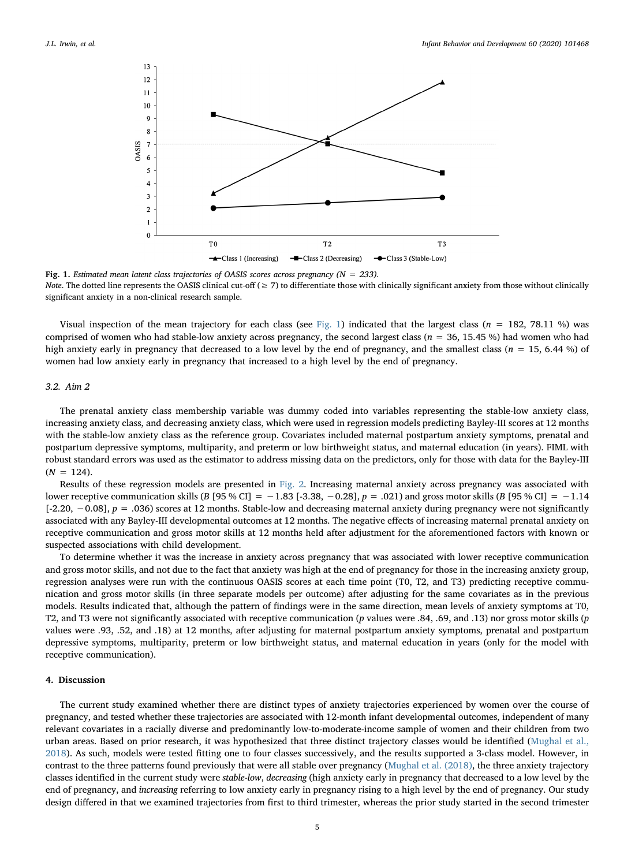<span id="page-4-0"></span>

Fig. 1. Estimated mean latent class trajectories of OASIS scores across pregnancy ( $N = 233$ ). Note. The dotted line represents the OASIS clinical cut-off ( $\geq$  7) to differentiate those with clinically significant anxiety from those without clinically significant anxiety in a non-clinical research sample.

Visual inspection of the mean trajectory for each class (see [Fig. 1\)](#page-4-0) indicated that the largest class ( $n = 182, 78.11$  %) was comprised of women who had stable-low anxiety across pregnancy, the second largest class ( $n = 36, 15.45$ %) had women who had high anxiety early in pregnancy that decreased to a low level by the end of pregnancy, and the smallest class ( $n = 15, 6.44\%$ ) of women had low anxiety early in pregnancy that increased to a high level by the end of pregnancy.

## 3.2. Aim 2

The prenatal anxiety class membership variable was dummy coded into variables representing the stable-low anxiety class, increasing anxiety class, and decreasing anxiety class, which were used in regression models predicting Bayley-III scores at 12 months with the stable-low anxiety class as the reference group. Covariates included maternal postpartum anxiety symptoms, prenatal and postpartum depressive symptoms, multiparity, and preterm or low birthweight status, and maternal education (in years). FIML with robust standard errors was used as the estimator to address missing data on the predictors, only for those with data for the Bayley-III  $(N = 124)$ .

Results of these regression models are presented in [Fig. 2.](#page-5-0) Increasing maternal anxiety across pregnancy was associated with lower receptive communication skills (B [95 % CI] =  $-1.83$  [-3.38,  $-0.28$ ],  $p = .021$ ) and gross motor skills (B [95 % CI] =  $-1.14$ [-2.20, −0.08], p = .036) scores at 12 months. Stable-low and decreasing maternal anxiety during pregnancy were not significantly associated with any Bayley-III developmental outcomes at 12 months. The negative effects of increasing maternal prenatal anxiety on receptive communication and gross motor skills at 12 months held after adjustment for the aforementioned factors with known or suspected associations with child development.

To determine whether it was the increase in anxiety across pregnancy that was associated with lower receptive communication and gross motor skills, and not due to the fact that anxiety was high at the end of pregnancy for those in the increasing anxiety group, regression analyses were run with the continuous OASIS scores at each time point (T0, T2, and T3) predicting receptive communication and gross motor skills (in three separate models per outcome) after adjusting for the same covariates as in the previous models. Results indicated that, although the pattern of findings were in the same direction, mean levels of anxiety symptoms at T0, T2, and T3 were not significantly associated with receptive communication (p values were .84, .69, and .13) nor gross motor skills (p values were .93, .52, and .18) at 12 months, after adjusting for maternal postpartum anxiety symptoms, prenatal and postpartum depressive symptoms, multiparity, preterm or low birthweight status, and maternal education in years (only for the model with receptive communication).

## 4. Discussion

The current study examined whether there are distinct types of anxiety trajectories experienced by women over the course of pregnancy, and tested whether these trajectories are associated with 12-month infant developmental outcomes, independent of many relevant covariates in a racially diverse and predominantly low-to-moderate-income sample of women and their children from two urban areas. Based on prior research, it was hypothesized that three distinct trajectory classes would be identified [\(Mughal et al.,](#page-7-10) [2018\)](#page-7-10). As such, models were tested fitting one to four classes successively, and the results supported a 3-class model. However, in contrast to the three patterns found previously that were all stable over pregnancy ([Mughal et al. \(2018\)](#page-7-10), the three anxiety trajectory classes identified in the current study were stable-low, decreasing (high anxiety early in pregnancy that decreased to a low level by the end of pregnancy, and increasing referring to low anxiety early in pregnancy rising to a high level by the end of pregnancy. Our study design differed in that we examined trajectories from first to third trimester, whereas the prior study started in the second trimester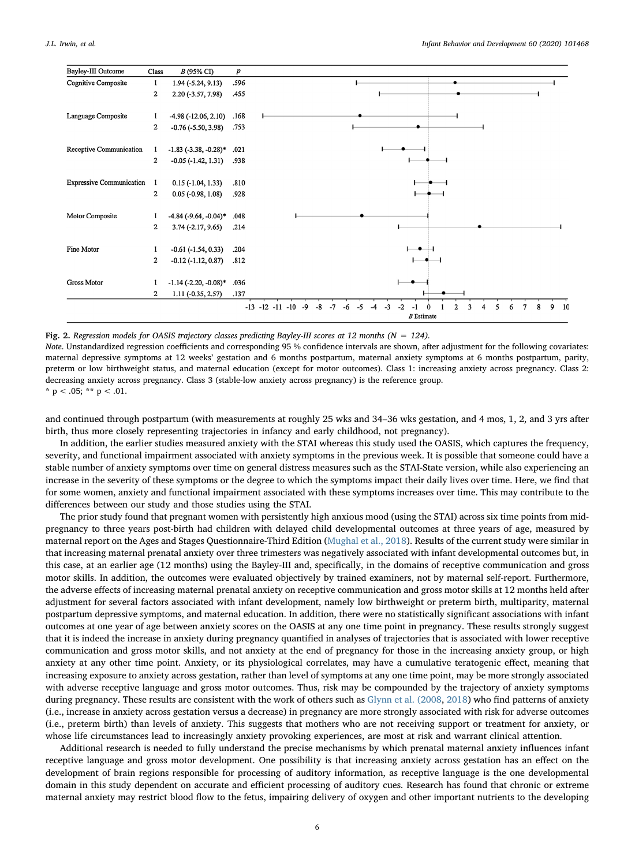<span id="page-5-0"></span>

| Bayley-III Outcome              | Class                   | <i>B</i> (95% CI)              | $\boldsymbol{p}$ |                                                                |
|---------------------------------|-------------------------|--------------------------------|------------------|----------------------------------------------------------------|
| Cognitive Composite             | 1                       | $1.94 (-5.24, 9.13)$           | .596             |                                                                |
|                                 | $\overline{\mathbf{2}}$ | 2.20 (-3.57, 7.98)             | .455             |                                                                |
|                                 |                         |                                |                  |                                                                |
| Language Composite              | 1                       | $-4.98(-12.06, 2.10)$          | .168             |                                                                |
|                                 | $\overline{\mathbf{2}}$ | $-0.76$ ( $-5.50$ , 3.98)      | .753             |                                                                |
|                                 |                         |                                |                  |                                                                |
| Receptive Communication         | 1                       | $-1.83$ ( $-3.38$ , $-0.28$ )* | .021             |                                                                |
|                                 | $\overline{2}$          | $-0.05$ $(-1.42, 1.31)$        | .938             |                                                                |
|                                 |                         |                                |                  |                                                                |
| <b>Expressive Communication</b> | -1                      | $0.15$ ( $-1.04$ , $1.33$ )    | .810             |                                                                |
|                                 | $\overline{2}$          | $0.05$ ( $-0.98$ , $1.08$ )    | .928             |                                                                |
|                                 |                         |                                |                  |                                                                |
| Motor Composite                 | 1                       | $-4.84$ ( $-9.64$ , $-0.04$ )* | .048             |                                                                |
|                                 | 2                       | $3.74(-2.17, 9.65)$            | .214             |                                                                |
| Fine Motor                      |                         |                                |                  |                                                                |
|                                 | 1                       | $-0.61$ $(-1.54, 0.33)$        | .204             |                                                                |
|                                 | $\overline{2}$          | $-0.12$ $(-1.12, 0.87)$        | .812             |                                                                |
| <b>Gross Motor</b>              |                         | $-1.14$ ( $-2.20$ , $-0.08$ )* | .036             |                                                                |
|                                 | $\overline{\mathbf{2}}$ |                                | .137             |                                                                |
|                                 |                         | $1.11 (-0.35, 2.57)$           |                  |                                                                |
|                                 |                         |                                |                  | $-13$<br>$-12$ $-11$ $-10$<br>$-8$<br>$-7$<br>-9<br>$-6$<br>-5 |
|                                 |                         |                                |                  | $B$ Estimate                                                   |

#### Fig. 2. Regression models for OASIS trajectory classes predicting Bayley-III scores at 12 months ( $N = 124$ ).

Note. Unstandardized regression coefficients and corresponding 95 % confidence intervals are shown, after adjustment for the following covariates: maternal depressive symptoms at 12 weeks' gestation and 6 months postpartum, maternal anxiety symptoms at 6 months postpartum, parity, preterm or low birthweight status, and maternal education (except for motor outcomes). Class 1: increasing anxiety across pregnancy. Class 2: decreasing anxiety across pregnancy. Class 3 (stable-low anxiety across pregnancy) is the reference group.

\*  $p < .05$ ; \*\*  $p < .01$ .

and continued through postpartum (with measurements at roughly 25 wks and 34–36 wks gestation, and 4 mos, 1, 2, and 3 yrs after birth, thus more closely representing trajectories in infancy and early childhood, not pregnancy).

In addition, the earlier studies measured anxiety with the STAI whereas this study used the OASIS, which captures the frequency, severity, and functional impairment associated with anxiety symptoms in the previous week. It is possible that someone could have a stable number of anxiety symptoms over time on general distress measures such as the STAI-State version, while also experiencing an increase in the severity of these symptoms or the degree to which the symptoms impact their daily lives over time. Here, we find that for some women, anxiety and functional impairment associated with these symptoms increases over time. This may contribute to the differences between our study and those studies using the STAI.

The prior study found that pregnant women with persistently high anxious mood (using the STAI) across six time points from midpregnancy to three years post-birth had children with delayed child developmental outcomes at three years of age, measured by maternal report on the Ages and Stages Questionnaire-Third Edition ([Mughal et al., 2018\)](#page-7-10). Results of the current study were similar in that increasing maternal prenatal anxiety over three trimesters was negatively associated with infant developmental outcomes but, in this case, at an earlier age (12 months) using the Bayley-III and, specifically, in the domains of receptive communication and gross motor skills. In addition, the outcomes were evaluated objectively by trained examiners, not by maternal self-report. Furthermore, the adverse effects of increasing maternal prenatal anxiety on receptive communication and gross motor skills at 12 months held after adjustment for several factors associated with infant development, namely low birthweight or preterm birth, multiparity, maternal postpartum depressive symptoms, and maternal education. In addition, there were no statistically significant associations with infant outcomes at one year of age between anxiety scores on the OASIS at any one time point in pregnancy. These results strongly suggest that it is indeed the increase in anxiety during pregnancy quantified in analyses of trajectories that is associated with lower receptive communication and gross motor skills, and not anxiety at the end of pregnancy for those in the increasing anxiety group, or high anxiety at any other time point. Anxiety, or its physiological correlates, may have a cumulative teratogenic effect, meaning that increasing exposure to anxiety across gestation, rather than level of symptoms at any one time point, may be more strongly associated with adverse receptive language and gross motor outcomes. Thus, risk may be compounded by the trajectory of anxiety symptoms during pregnancy. These results are consistent with the work of others such as [Glynn et al. \(2008,](#page-7-22) [2018](#page-7-23)) who find patterns of anxiety (i.e., increase in anxiety across gestation versus a decrease) in pregnancy are more strongly associated with risk for adverse outcomes (i.e., preterm birth) than levels of anxiety. This suggests that mothers who are not receiving support or treatment for anxiety, or whose life circumstances lead to increasingly anxiety provoking experiences, are most at risk and warrant clinical attention.

Additional research is needed to fully understand the precise mechanisms by which prenatal maternal anxiety influences infant receptive language and gross motor development. One possibility is that increasing anxiety across gestation has an effect on the development of brain regions responsible for processing of auditory information, as receptive language is the one developmental domain in this study dependent on accurate and efficient processing of auditory cues. Research has found that chronic or extreme maternal anxiety may restrict blood flow to the fetus, impairing delivery of oxygen and other important nutrients to the developing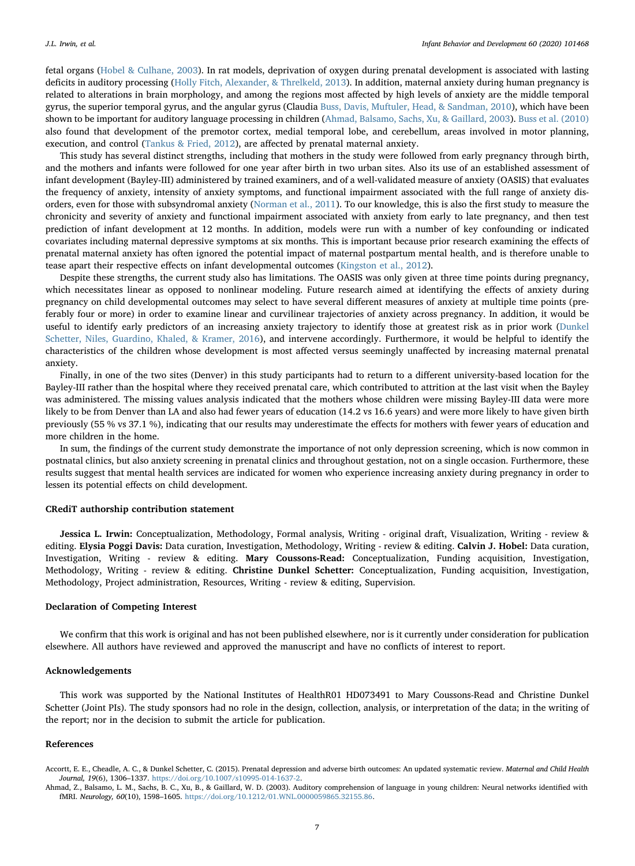fetal organs [\(Hobel & Culhane, 2003\)](#page-7-35). In rat models, deprivation of oxygen during prenatal development is associated with lasting deficits in auditory processing ([Holly Fitch, Alexander, & Threlkeld, 2013\)](#page-7-36). In addition, maternal anxiety during human pregnancy is related to alterations in brain morphology, and among the regions most affected by high levels of anxiety are the middle temporal gyrus, the superior temporal gyrus, and the angular gyrus (Claudia [Buss, Davis, Muftuler, Head, & Sandman, 2010\)](#page-7-37), which have been shown to be important for auditory language processing in children ([Ahmad, Balsamo, Sachs, Xu, & Gaillard, 2003](#page-6-1)). [Buss et al. \(2010\)](#page-7-37) also found that development of the premotor cortex, medial temporal lobe, and cerebellum, areas involved in motor planning, execution, and control [\(Tankus & Fried, 2012\)](#page-8-6), are affected by prenatal maternal anxiety.

This study has several distinct strengths, including that mothers in the study were followed from early pregnancy through birth, and the mothers and infants were followed for one year after birth in two urban sites. Also its use of an established assessment of infant development (Bayley-III) administered by trained examiners, and of a well-validated measure of anxiety (OASIS) that evaluates the frequency of anxiety, intensity of anxiety symptoms, and functional impairment associated with the full range of anxiety disorders, even for those with subsyndromal anxiety ([Norman et al., 2011](#page-7-24)). To our knowledge, this is also the first study to measure the chronicity and severity of anxiety and functional impairment associated with anxiety from early to late pregnancy, and then test prediction of infant development at 12 months. In addition, models were run with a number of key confounding or indicated covariates including maternal depressive symptoms at six months. This is important because prior research examining the effects of prenatal maternal anxiety has often ignored the potential impact of maternal postpartum mental health, and is therefore unable to tease apart their respective effects on infant developmental outcomes [\(Kingston et al., 2012](#page-7-8)).

Despite these strengths, the current study also has limitations. The OASIS was only given at three time points during pregnancy, which necessitates linear as opposed to nonlinear modeling. Future research aimed at identifying the effects of anxiety during pregnancy on child developmental outcomes may select to have several different measures of anxiety at multiple time points (preferably four or more) in order to examine linear and curvilinear trajectories of anxiety across pregnancy. In addition, it would be useful to identify early predictors of an increasing anxiety trajectory to identify those at greatest risk as in prior work [\(Dunkel](#page-7-38) [Schetter, Niles, Guardino, Khaled, & Kramer, 2016\)](#page-7-38), and intervene accordingly. Furthermore, it would be helpful to identify the characteristics of the children whose development is most affected versus seemingly unaffected by increasing maternal prenatal anxiety.

Finally, in one of the two sites (Denver) in this study participants had to return to a different university-based location for the Bayley-III rather than the hospital where they received prenatal care, which contributed to attrition at the last visit when the Bayley was administered. The missing values analysis indicated that the mothers whose children were missing Bayley-III data were more likely to be from Denver than LA and also had fewer years of education (14.2 vs 16.6 years) and were more likely to have given birth previously (55 % vs 37.1 %), indicating that our results may underestimate the effects for mothers with fewer years of education and more children in the home.

In sum, the findings of the current study demonstrate the importance of not only depression screening, which is now common in postnatal clinics, but also anxiety screening in prenatal clinics and throughout gestation, not on a single occasion. Furthermore, these results suggest that mental health services are indicated for women who experience increasing anxiety during pregnancy in order to lessen its potential effects on child development.

#### CRediT authorship contribution statement

Jessica L. Irwin: Conceptualization, Methodology, Formal analysis, Writing - original draft, Visualization, Writing - review & editing. Elysia Poggi Davis: Data curation, Investigation, Methodology, Writing - review & editing. Calvin J. Hobel: Data curation, Investigation, Writing - review & editing. Mary Coussons-Read: Conceptualization, Funding acquisition, Investigation, Methodology, Writing - review & editing. Christine Dunkel Schetter: Conceptualization, Funding acquisition, Investigation, Methodology, Project administration, Resources, Writing - review & editing, Supervision.

## Declaration of Competing Interest

We confirm that this work is original and has not been published elsewhere, nor is it currently under consideration for publication elsewhere. All authors have reviewed and approved the manuscript and have no conflicts of interest to report.

#### Acknowledgements

This work was supported by the National Institutes of HealthR01 HD073491 to Mary Coussons-Read and Christine Dunkel Schetter (Joint PIs). The study sponsors had no role in the design, collection, analysis, or interpretation of the data; in the writing of the report; nor in the decision to submit the article for publication.

### References

<span id="page-6-0"></span>Accortt, E. E., Cheadle, A. C., & Dunkel Schetter, C. (2015). Prenatal depression and adverse birth outcomes: An updated systematic review. Maternal and Child Health Journal, 19(6), 1306–1337. <https://doi.org/10.1007/s10995-014-1637-2>.

<span id="page-6-1"></span>Ahmad, Z., Balsamo, L. M., Sachs, B. C., Xu, B., & Gaillard, W. D. (2003). Auditory comprehension of language in young children: Neural networks identified with fMRI. Neurology, 60(10), 1598–1605. [https://doi.org/10.1212/01.WNL.0000059865.32155.86.](https://doi.org/10.1212/01.WNL.0000059865.32155.86)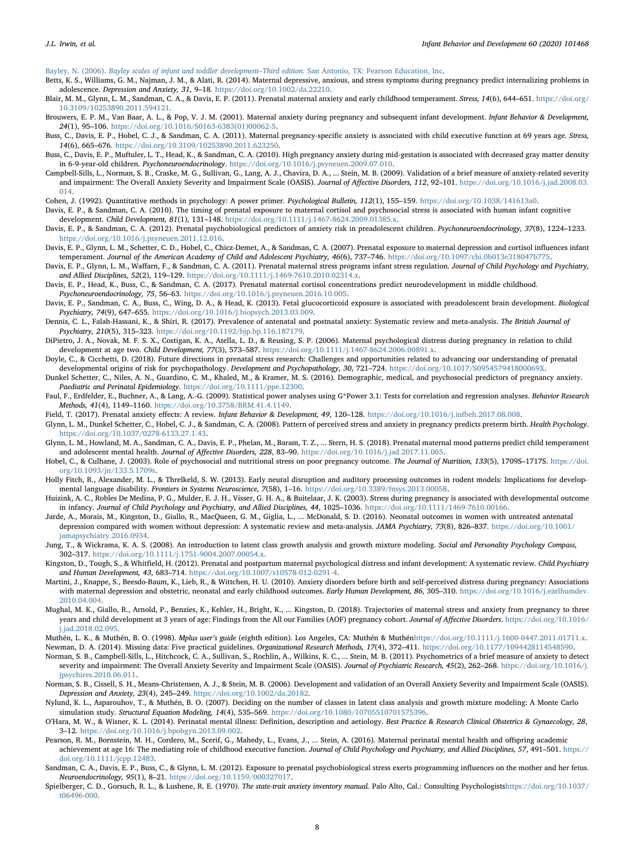<span id="page-7-26"></span>Bayley, N. (2006). [Bayley scales of infant and toddler development](http://refhub.elsevier.com/S0163-6383(20)30096-5/sbref0015)–Third edition. San Antonio, TX: Pearson Education, Inc.

- <span id="page-7-20"></span>Betts, K. S., Williams, G. M., Najman, J. M., & Alati, R. (2014). Maternal depressive, anxious, and stress symptoms during pregnancy predict internalizing problems in adolescence. Depression and Anxiety, 31, 9–18. [https://doi.org/10.1002/da.22210.](https://doi.org/10.1002/da.22210)
- <span id="page-7-15"></span>Blair, M. M., Glynn, L. M., Sandman, C. A., & Davis, E. P. (2011). Prenatal maternal anxiety and early childhood temperament. Stress, 14(6), 644-651. [https://doi.org/](https://doi.org/10.3109/10253890.2011.594121) [10.3109/10253890.2011.594121.](https://doi.org/10.3109/10253890.2011.594121)
- <span id="page-7-13"></span>Brouwers, E. P. M., Van Baar, A. L., & Pop, V. J. M. (2001). Maternal anxiety during pregnancy and subsequent infant development. Infant Behavior & Development, 24(1), 95–106. [https://doi.org/10.1016/S0163-6383\(01\)00062-5.](https://doi.org/10.1016/S0163-6383(01)00062-5)
- <span id="page-7-14"></span>Buss, C., Davis, E. P., Hobel, C. J., & Sandman, C. A. (2011). Maternal pregnancy-specific anxiety is associated with child executive function at 69 years age. Stress, 14(6), 665–676. [https://doi.org/10.3109/10253890.2011.623250.](https://doi.org/10.3109/10253890.2011.623250)
- <span id="page-7-37"></span>Buss, C., Davis, E. P., Muftuler, L. T., Head, K., & Sandman, C. A. (2010). High pregnancy anxiety during mid-gestation is associated with decreased gray matter density in 6-9-year-old children. Psychoneuroendocrinology. [https://doi.org/10.1016/j.psyneuen.2009.07.010.](https://doi.org/10.1016/j.psyneuen.2009.07.010)
- <span id="page-7-28"></span>Campbell-Sills, L., Norman, S. B., Craske, M. G., Sullivan, G., Lang, A. J., Chavira, D. A., ... Stein, M. B. (2009). Validation of a brief measure of anxiety-related severity and impairment: The Overall Anxiety Severity and Impairment Scale (OASIS). Journal of Affective Disorders, 112, 92-101. [https://doi.org/10.1016/j.jad.2008.03.](https://doi.org/10.1016/j.jad.2008.03.014) [014.](https://doi.org/10.1016/j.jad.2008.03.014)
- <span id="page-7-34"></span>Cohen, J. (1992). Quantitative methods in psychology: A power primer. Psychological Bulletin, 112(1), 155-159. [https://doi.org/10.1038/141613a0.](https://doi.org/10.1038/141613a0)
- <span id="page-7-0"></span>Davis, E. P., & Sandman, C. A. (2010). The timing of prenatal exposure to maternal cortisol and psychosocial stress is associated with human infant cognitive development. Child Development, 81(1), 131–148. <https://doi.org/10.1111/j.1467-8624.2009.01385.x>.
- <span id="page-7-17"></span>Davis, E. P., & Sandman, C. A. (2012). Prenatal psychobiological predictors of anxiety risk in preadolescent children. Psychoneuroendocrinology, 37(8), 1224-1233. [https://doi.org/10.1016/j.psyneuen.2011.12.016.](https://doi.org/10.1016/j.psyneuen.2011.12.016)
- <span id="page-7-16"></span>Davis, E. P., Glynn, L. M., Schetter, C. D., Hobel, C., Chicz-Demet, A., & Sandman, C. A. (2007). Prenatal exposure to maternal depression and cortisol influences infant temperament. Journal of the American Academy of Child and Adolescent Psychiatry, 46(6), 737-746. [https://doi.org/10.1097/chi.0b013e318047b775.](https://doi.org/10.1097/chi.0b013e318047b775)
- <span id="page-7-21"></span>Davis, E. P., Glynn, L. M., Waffarn, F., & Sandman, C. A. (2011). Prenatal maternal stress programs infant stress regulation. Journal of Child Psychology and Psychiatry, and Allied Disciplines, 52(2), 119–129. [https://doi.org/10.1111/j.1469-7610.2010.02314.x.](https://doi.org/10.1111/j.1469-7610.2010.02314.x)
- <span id="page-7-2"></span>Davis, E. P., Head, K., Buss, C., & Sandman, C. A. (2017). Prenatal maternal cortisol concentrations predict neurodevelopment in middle childhood. Psychoneuroendocrinology, 75, 56–63. [https://doi.org/10.1016/j.psyneuen.2016.10.005.](https://doi.org/10.1016/j.psyneuen.2016.10.005)
- <span id="page-7-1"></span>Davis, E. P., Sandman, C. A., Buss, C., Wing, D. A., & Head, K. (2013). Fetal glucocorticoid exposure is associated with preadolescent brain development. Biological Psychiatry, 74(9), 647–655. [https://doi.org/10.1016/j.biopsych.2013.03.009.](https://doi.org/10.1016/j.biopsych.2013.03.009)
- <span id="page-7-6"></span>Dennis, C. L., Falah-Hassani, K., & Shiri, R. (2017). Prevalence of antenatal and postnatal anxiety: Systematic review and meta-analysis. The British Journal of Psychiatry, 210(5), 315–323. [https://doi.org/10.1192/bjp.bp.116.187179.](https://doi.org/10.1192/bjp.bp.116.187179)
- <span id="page-7-18"></span>DiPietro, J. A., Novak, M. F. S. X., Costigan, K. A., Atella, L. D., & Reusing, S. P. (2006). Maternal psychological distress during pregnancy in relation to child development at age two. Child Development, 77(3), 573–587. [https://doi.org/10.1111/j.1467-8624.2006.00891.x.](https://doi.org/10.1111/j.1467-8624.2006.00891.x)
- <span id="page-7-3"></span>Doyle, C., & Cicchetti, D. (2018). Future directions in prenatal stress research: Challenges and opportunities related to advancing our understanding of prenatal developmental origins of risk for psychopathology. Development and Psychopathology, 30, 721-724. <https://doi.org/10.1017/S095457941800069X>
- <span id="page-7-38"></span>Dunkel Schetter, C., Niles, A. N., Guardino, C. M., Khaled, M., & Kramer, M. S. (2016). Demographic, medical, and psychosocial predictors of pregnancy anxiety. Paediatric and Perinatal Epidemiology. <https://doi.org/10.1111/ppe.12300>.
- <span id="page-7-33"></span>Faul, F., Erdfelder, E., Buchner, A., & Lang, A.-G. (2009). Statistical power analyses using G\*Power 3.1: Tests for correlation and regression analyses. Behavior Research Methods, 41(4), 1149–1160. <https://doi.org/10.3758/BRM.41.4.1149>.
- <span id="page-7-9"></span>Field, T. (2017). Prenatal anxiety effects: A review. Infant Behavior & Development, 49, 120-128. <https://doi.org/10.1016/j.infbeh.2017.08.008>.
- <span id="page-7-22"></span>Glynn, L. M., Dunkel Schetter, C., Hobel, C. J., & Sandman, C. A. (2008). Pattern of perceived stress and anxiety in pregnancy predicts preterm birth. Health Psychology. [https://doi.org/10.1037/0278-6133.27.1.43.](https://doi.org/10.1037/0278-6133.27.1.43)
- <span id="page-7-23"></span>Glynn, L. M., Howland, M. A., Sandman, C. A., Davis, E. P., Phelan, M., Baram, T. Z., ... Stern, H. S. (2018). Prenatal maternal mood patterns predict child temperament and adolescent mental health. Journal of Affective Disorders, 228, 83-90. <https://doi.org/10.1016/j.jad.2017.11.065>.
- <span id="page-7-35"></span>Hobel, C., & Culhane, J. (2003). Role of psychosocial and nutritional stress on poor pregnancy outcome. The Journal of Nutrition, 133(5), 1709S-1717S. [https://doi.](https://doi.org/10.1093/jn/133.5.1709s) [org/10.1093/jn/133.5.1709s](https://doi.org/10.1093/jn/133.5.1709s).
- <span id="page-7-36"></span>Holly Fitch, R., Alexander, M. L., & Threlkeld, S. W. (2013). Early neural disruption and auditory processing outcomes in rodent models: Implications for developmental language disability. Frontiers in Systems Neuroscience, 7(58), 1–16. [https://doi.org/10.3389/fnsys.2013.00058.](https://doi.org/10.3389/fnsys.2013.00058)
- <span id="page-7-12"></span>Huizink, A. C., Robles De Medina, P. G., Mulder, E. J. H., Visser, G. H. A., & Buitelaar, J. K. (2003). Stress during pregnancy is associated with developmental outcome in infancy. Journal of Child Psychology and Psychiatry, and Allied Disciplines, 44, 1025–1036. <https://doi.org/10.1111/1469-7610.00166>.
- <span id="page-7-7"></span>Jarde, A., Morais, M., Kingston, D., Giallo, R., MacQueen, G. M., Giglia, L., ... McDonald, S. D. (2016). Neonatal outcomes in women with untreated antenatal depression compared with women without depression: A systematic review and meta-analysis. JAMA Psychiatry, 73(8), 826-837. [https://doi.org/10.1001/](https://doi.org/10.1001/jamapsychiatry.2016.0934) [jamapsychiatry.2016.0934](https://doi.org/10.1001/jamapsychiatry.2016.0934).
- <span id="page-7-31"></span>Jung, T., & Wickrama, K. A. S. (2008). An introduction to latent class growth analysis and growth mixture modeling. Social and Personality Psychology Compass, 302–317. [https://doi.org/10.1111/j.1751-9004.2007.00054.x.](https://doi.org/10.1111/j.1751-9004.2007.00054.x)
- <span id="page-7-8"></span>Kingston, D., Tough, S., & Whitfield, H. (2012). Prenatal and postpartum maternal psychological distress and infant development: A systematic review. Child Psychiatry and Human Development, 43, 683–714. <https://doi.org/10.1007/s10578-012-0291-4>.
- <span id="page-7-19"></span>Martini, J., Knappe, S., Beesdo-Baum, K., Lieb, R., & Wittchen, H. U. (2010). Anxiety disorders before birth and self-perceived distress during pregnancy: Associations with maternal depression and obstetric, neonatal and early childhood outcomes. Early Human Development, 86, 305-310. [https://doi.org/10.1016/j.earlhumdev.](https://doi.org/10.1016/j.earlhumdev.2010.04.004) [2010.04.004.](https://doi.org/10.1016/j.earlhumdev.2010.04.004)
- <span id="page-7-10"></span>Mughal, M. K., Giallo, R., Arnold, P., Benzies, K., Kehler, H., Bright, K., ... Kingston, D. (2018). Trajectories of maternal stress and anxiety from pregnancy to three years and child development at 3 years of age: Findings from the All our Families (AOF) pregnancy cohort. Journal of Affective Disorders. [https://doi.org/10.1016/](https://doi.org/10.1016/j.jad.2018.02.095) [j.jad.2018.02.095.](https://doi.org/10.1016/j.jad.2018.02.095)
- <span id="page-7-32"></span><span id="page-7-29"></span>Muthén, L. K., & Muthén, B. O. (1998). Mplus user's guide (eighth edition). Los Angeles, CA: Muthén & Muthén<https://doi.org/10.1111/j.1600-0447.2011.01711.x>. Newman, D. A. (2014). Missing data: Five practical guidelines. Organizational Research Methods, 17(4), 372–411. [https://doi.org/10.1177/1094428114548590.](https://doi.org/10.1177/1094428114548590)
- <span id="page-7-24"></span>Norman, S. B., Campbell-Sills, L., Hitchcock, C. A., Sullivan, S., Rochlin, A., Wilkins, K. C., ... Stein, M. B. (2011). Psychometrics of a brief measure of anxiety to detect severity and impairment: The Overall Anxiety Severity and Impairment Scale (OASIS). Journal of Psychiatric Research, 45(2), 262-268. [https://doi.org/10.1016/j.](https://doi.org/10.1016/j.jpsychires.2010.06.011) [jpsychires.2010.06.011.](https://doi.org/10.1016/j.jpsychires.2010.06.011)
- <span id="page-7-27"></span>Norman, S. B., Cissell, S. H., Means-Christensen, A. J., & Stein, M. B. (2006). Development and validation of an Overall Anxiety Severity and Impairment Scale (OASIS). Depression and Anxiety, 23(4), 245–249. <https://doi.org/10.1002/da.20182>.
- <span id="page-7-30"></span>Nylund, K. L., Asparouhov, T., & Muthén, B. O. (2007). Deciding on the number of classes in latent class analysis and growth mixture modeling: A Monte Carlo simulation study. Structural Equation Modeling, 14(4), 535-569. [https://doi.org/10.1080/10705510701575396.](https://doi.org/10.1080/10705510701575396)
- <span id="page-7-5"></span>O'Hara, M. W., & Wisner, K. L. (2014). Perinatal mental illness: Definition, description and aetiology. Best Practice & Research Clinical Obstetrics & Gynaecology, 28, 3–12. <https://doi.org/10.1016/j.bpobgyn.2013.09.002>.
- <span id="page-7-11"></span>Pearson, R. M., Bornstein, M. H., Cordero, M., Scerif, G., Mahedy, L., Evans, J., ... Stein, A. (2016). Maternal perinatal mental health and offspring academic achievement at age 16: The mediating role of childhood executive function. Journal of Child Psychology and Psychiatry, and Allied Disciplines, 57, 491-501. [https://](https://doi.org/10.1111/jcpp.12483) [doi.org/10.1111/jcpp.12483](https://doi.org/10.1111/jcpp.12483).
- <span id="page-7-4"></span>Sandman, C. A., Davis, E. P., Buss, C., & Glynn, L. M. (2012). Exposure to prenatal psychobiological stress exerts programming influences on the mother and her fetus. Neuroendocrinology, 95(1), 8–21. [https://doi.org/10.1159/000327017.](https://doi.org/10.1159/000327017)
- <span id="page-7-25"></span>Spielberger, C. D., Gorsuch, R. L., & Lushene, R. E. (1970). The state-trait anxiety inventory manual. Palo Alto, Cal.: Consulting Psychologist[shttps://doi.org/10.1037/](https://doi.org/10.1037/t06496-000) [t06496-000.](https://doi.org/10.1037/t06496-000)